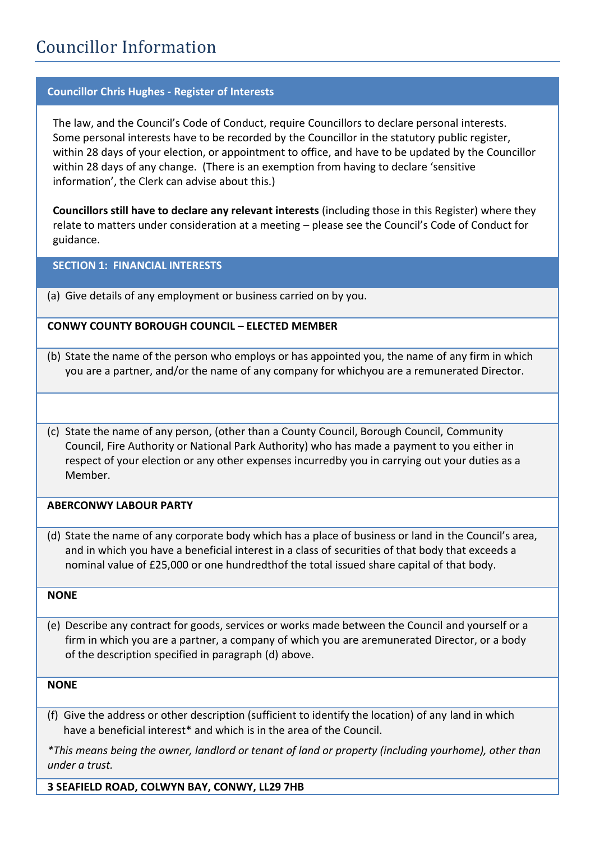# Councillor Information

# **Councillor Chris Hughes - Register of Interests**

The law, and the Council's Code of Conduct, require Councillors to declare personal interests. Some personal interests have to be recorded by the Councillor in the statutory public register, within 28 days of your election, or appointment to office, and have to be updated by the Councillor within 28 days of any change. (There is an exemption from having to declare 'sensitive information', the Clerk can advise about this.)

**Councillors still have to declare any relevant interests** (including those in this Register) where they relate to matters under consideration at a meeting – please see the Council's Code of Conduct for guidance.

**SECTION 1: FINANCIAL INTERESTS**

(a) Give details of any employment or business carried on by you.

#### **CONWY COUNTY BOROUGH COUNCIL – ELECTED MEMBER**

- (b) State the name of the person who employs or has appointed you, the name of any firm in which you are a partner, and/or the name of any company for whichyou are a remunerated Director.
- (c) State the name of any person, (other than a County Council, Borough Council, Community Council, Fire Authority or National Park Authority) who has made a payment to you either in respect of your election or any other expenses incurredby you in carrying out your duties as a Member.

# **ABERCONWY LABOUR PARTY**

(d) State the name of any corporate body which has a place of business or land in the Council's area, and in which you have a beneficial interest in a class of securities of that body that exceeds a nominal value of £25,000 or one hundredthof the total issued share capital of that body.

#### **NONE**

(e) Describe any contract for goods, services or works made between the Council and yourself or a firm in which you are a partner, a company of which you are aremunerated Director, or a body of the description specified in paragraph (d) above.

#### **NONE**

 (f) Give the address or other description (sufficient to identify the location) of any land in which have a beneficial interest\* and which is in the area of the Council.

*\*This means being the owner, landlord or tenant of land or property (including yourhome), other than under a trust.*

**3 SEAFIELD ROAD, COLWYN BAY, CONWY, LL29 7HB**